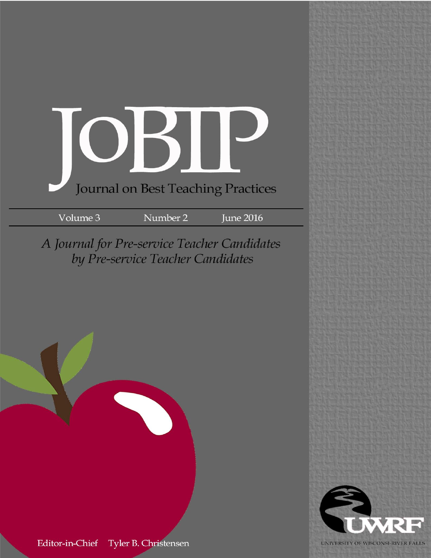

A Journal for Pre-service Teacher Candidates by Pre-service Teacher Candidates



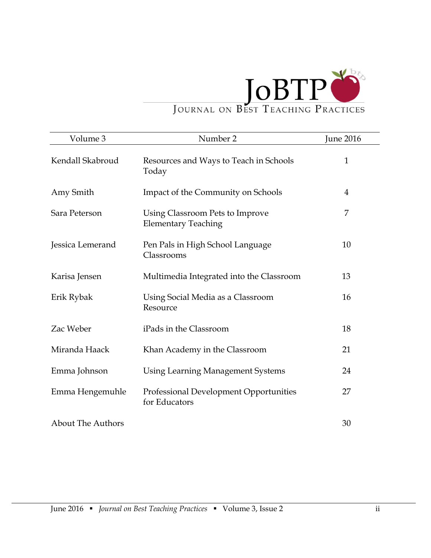

| Volume 3                 | Number 2                                                      | <b>June 2016</b> |
|--------------------------|---------------------------------------------------------------|------------------|
| Kendall Skabroud         | Resources and Ways to Teach in Schools<br>Today               | $\mathbf{1}$     |
| Amy Smith                | Impact of the Community on Schools                            | 4                |
| Sara Peterson            | Using Classroom Pets to Improve<br><b>Elementary Teaching</b> | 7                |
| Jessica Lemerand         | Pen Pals in High School Language<br>Classrooms                | 10               |
| Karisa Jensen            | Multimedia Integrated into the Classroom                      | 13               |
| Erik Rybak               | Using Social Media as a Classroom<br>Resource                 | 16               |
| Zac Weber                | iPads in the Classroom                                        | 18               |
| Miranda Haack            | Khan Academy in the Classroom                                 | 21               |
| Emma Johnson             | <b>Using Learning Management Systems</b>                      | 24               |
| Emma Hengemuhle          | Professional Development Opportunities<br>for Educators       | 27               |
| <b>About The Authors</b> |                                                               | 30               |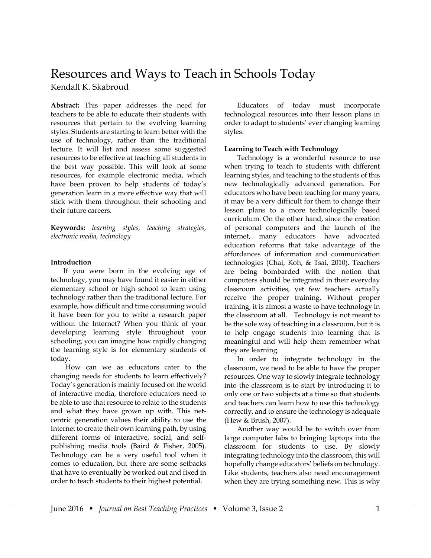# Resources and Ways to Teach in Schools Today

Kendall K. Skabroud

**Abstract:** This paper addresses the need for teachers to be able to educate their students with resources that pertain to the evolving learning styles. Students are starting to learn better with the use of technology, rather than the traditional lecture. It will list and assess some suggested resources to be effective at teaching all students in the best way possible. This will look at some resources, for example electronic media, which have been proven to help students of today's generation learn in a more effective way that will stick with them throughout their schooling and their future careers.

**Keywords:** *learning styles, teaching strategies, electronic media, technology*

# **Introduction**

If you were born in the evolving age of technology, you may have found it easier in either elementary school or high school to learn using technology rather than the traditional lecture. For example, how difficult and time consuming would it have been for you to write a research paper without the Internet? When you think of your developing learning style throughout your schooling, you can imagine how rapidly changing the learning style is for elementary students of today.

How can we as educators cater to the changing needs for students to learn effectively? Today's generation is mainly focused on the world of interactive media, therefore educators need to be able to use that resource to relate to the students and what they have grown up with. This netcentric generation values their ability to use the Internet to create their own learning path, by using different forms of interactive, social, and selfpublishing media tools (Baird & Fisher, 2005). Technology can be a very useful tool when it comes to education, but there are some setbacks that have to eventually be worked out and fixed in order to teach students to their highest potential.

Educators of today must incorporate technological resources into their lesson plans in order to adapt to students' ever changing learning styles.

# **Learning to Teach with Technology**

Technology is a wonderful resource to use when trying to teach to students with different learning styles, and teaching to the students of this new technologically advanced generation. For educators who have been teaching for many years, it may be a very difficult for them to change their lesson plans to a more technologically based curriculum. On the other hand, since the creation of personal computers and the launch of the internet, many educators have advocated education reforms that take advantage of the affordances of information and communication technologies (Chai, Koh, & Tsai, 2010). Teachers are being bombarded with the notion that computers should be integrated in their everyday classroom activities, yet few teachers actually receive the proper training. Without proper training, it is almost a waste to have technology in the classroom at all. Technology is not meant to be the sole way of teaching in a classroom, but it is to help engage students into learning that is meaningful and will help them remember what they are learning.

In order to integrate technology in the classroom, we need to be able to have the proper resources. One way to slowly integrate technology into the classroom is to start by introducing it to only one or two subjects at a time so that students and teachers can learn how to use this technology correctly, and to ensure the technology is adequate (Hew & Brush, 2007).

Another way would be to switch over from large computer labs to bringing laptops into the classroom for students to use. By slowly integrating technology into the classroom, this will hopefully change educators' beliefs on technology. Like students, teachers also need encouragement when they are trying something new. This is why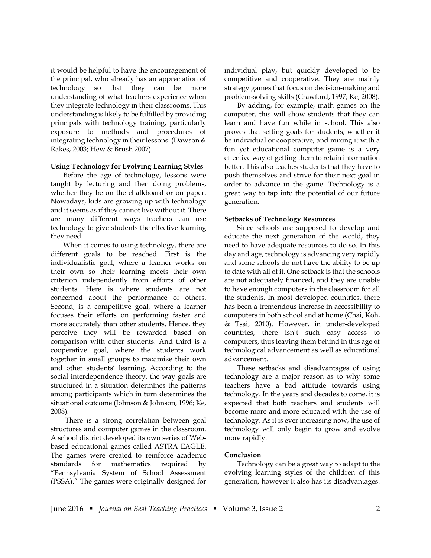it would be helpful to have the encouragement of the principal, who already has an appreciation of technology so that they can be more understanding of what teachers experience when they integrate technology in their classrooms. This understanding is likely to be fulfilled by providing principals with technology training, particularly exposure to methods and procedures of integrating technology in their lessons. (Dawson & Rakes, 2003; Hew & Brush 2007).

#### **Using Technology for Evolving Learning Styles**

Before the age of technology, lessons were taught by lecturing and then doing problems, whether they be on the chalkboard or on paper. Nowadays, kids are growing up with technology and it seems as if they cannot live without it. There are many different ways teachers can use technology to give students the effective learning they need.

When it comes to using technology, there are different goals to be reached. First is the individualistic goal, where a learner works on their own so their learning meets their own criterion independently from efforts of other students. Here is where students are not concerned about the performance of others. Second, is a competitive goal, where a learner focuses their efforts on performing faster and more accurately than other students. Hence, they perceive they will be rewarded based on comparison with other students. And third is a cooperative goal, where the students work together in small groups to maximize their own and other students' learning. According to the social interdependence theory, the way goals are structured in a situation determines the patterns among participants which in turn determines the situational outcome (Johnson & Johnson, 1996; Ke, 2008).

There is a strong correlation between goal structures and computer games in the classroom. A school district developed its own series of Webbased educational games called ASTRA EAGLE. The games were created to reinforce academic standards for mathematics required by "Pennsylvania System of School Assessment (PSSA)." The games were originally designed for individual play, but quickly developed to be competitive and cooperative. They are mainly strategy games that focus on decision-making and problem-solving skills (Crawford, 1997; Ke, 2008).

By adding, for example, math games on the computer, this will show students that they can learn and have fun while in school. This also proves that setting goals for students, whether it be individual or cooperative, and mixing it with a fun yet educational computer game is a very effective way of getting them to retain information better. This also teaches students that they have to push themselves and strive for their next goal in order to advance in the game. Technology is a great way to tap into the potential of our future generation.

#### **Setbacks of Technology Resources**

Since schools are supposed to develop and educate the next generation of the world, they need to have adequate resources to do so. In this day and age, technology is advancing very rapidly and some schools do not have the ability to be up to date with all of it. One setback is that the schools are not adequately financed, and they are unable to have enough computers in the classroom for all the students. In most developed countries, there has been a tremendous increase in accessibility to computers in both school and at home (Chai, Koh, & Tsai, 2010). However, in under-developed countries, there isn't such easy access to computers, thus leaving them behind in this age of technological advancement as well as educational advancement.

These setbacks and disadvantages of using technology are a major reason as to why some teachers have a bad attitude towards using technology. In the years and decades to come, it is expected that both teachers and students will become more and more educated with the use of technology. As it is ever increasing now, the use of technology will only begin to grow and evolve more rapidly.

#### **Conclusion**

Technology can be a great way to adapt to the evolving learning styles of the children of this generation, however it also has its disadvantages.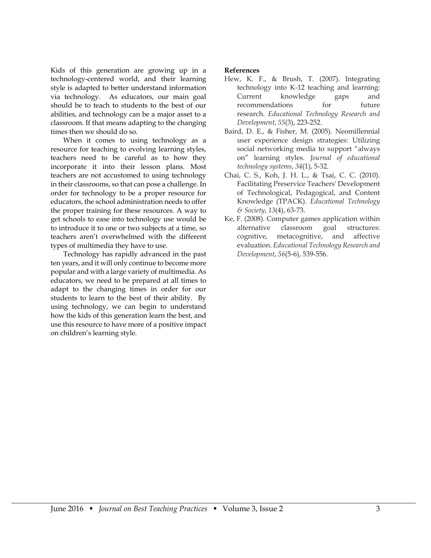Kids of this generation are growing up in a technology-centered world, and their learning style is adapted to better understand information via technology. As educators, our main goal should be to teach to students to the best of our abilities, and technology can be a major asset to a classroom. If that means adapting to the changing times then we should do so.

When it comes to using technology as a resource for teaching to evolving learning styles, teachers need to be careful as to how they incorporate it into their lesson plans. Most teachers are not accustomed to using technology in their classrooms, so that can pose a challenge. In order for technology to be a proper resource for educators, the school administration needs to offer the proper training for these resources. A way to get schools to ease into technology use would be to introduce it to one or two subjects at a time, so teachers aren't overwhelmed with the different types of multimedia they have to use.

Technology has rapidly advanced in the past ten years, and it will only continue to become more popular and with a large variety of multimedia. As educators, we need to be prepared at all times to adapt to the changing times in order for our students to learn to the best of their ability. By using technology, we can begin to understand how the kids of this generation learn the best, and use this resource to have more of a positive impact on children's learning style.

- Hew, K. F., & Brush, T. (2007). Integrating technology into K-12 teaching and learning: Current knowledge gaps and recommendations for future research. *Educational Technology Research and Development*, *55*(3), 223-252.
- Baird, D. E., & Fisher, M. (2005). Neomillennial user experience design strategies: Utilizing social networking media to support "always on" learning styles. *Journal of educational technology systems*, *34*(1), 5-32.
- Chai, C. S., Koh, J. H. L., & Tsai, C. C. (2010). Facilitating Preservice Teachers' Development of Technological, Pedagogical, and Content Knowledge (TPACK). *Educational Technology & Society*, *13*(4), 63-73.
- Ke, F. (2008). Computer games application within alternative classroom goal structures: cognitive, metacognitive, and affective evaluation. *Educational Technology Research and Development*, *56*(5-6), 539-556.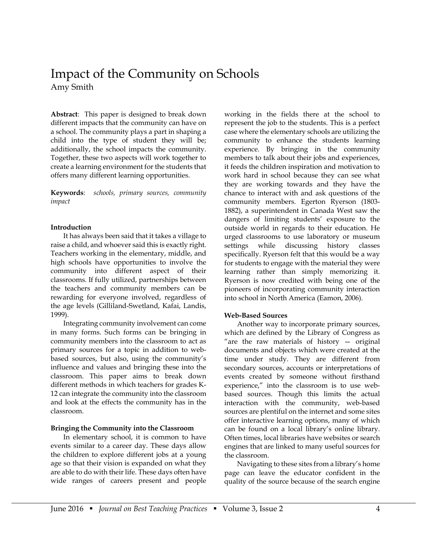# Impact of the Community on Schools Amy Smith

**Abstract**: This paper is designed to break down different impacts that the community can have on a school. The community plays a part in shaping a child into the type of student they will be; additionally, the school impacts the community. Together, these two aspects will work together to create a learning environment for the students that offers many different learning opportunities.

**Keywords**: *schools, primary sources, community impact*

## **Introduction**

It has always been said that it takes a village to raise a child, and whoever said this is exactly right. Teachers working in the elementary, middle, and high schools have opportunities to involve the community into different aspect of their classrooms. If fully utilized, partnerships between the teachers and community members can be rewarding for everyone involved, regardless of the age levels (Gilliland-Swetland, Kafai, Landis, 1999).

Integrating community involvement can come in many forms. Such forms can be bringing in community members into the classroom to act as primary sources for a topic in addition to webbased sources, but also, using the community's influence and values and bringing these into the classroom. This paper aims to break down different methods in which teachers for grades K-12 can integrate the community into the classroom and look at the effects the community has in the classroom.

#### **Bringing the Community into the Classroom**

In elementary school, it is common to have events similar to a career day. These days allow the children to explore different jobs at a young age so that their vision is expanded on what they are able to do with their life. These days often have wide ranges of careers present and people working in the fields there at the school to represent the job to the students. This is a perfect case where the elementary schools are utilizing the community to enhance the students learning experience. By bringing in the community members to talk about their jobs and experiences, it feeds the children inspiration and motivation to work hard in school because they can see what they are working towards and they have the chance to interact with and ask questions of the community members. Egerton Ryerson (1803- 1882), a superintendent in Canada West saw the dangers of limiting students' exposure to the outside world in regards to their education. He urged classrooms to use laboratory or museum settings while discussing history classes specifically. Ryerson felt that this would be a way for students to engage with the material they were learning rather than simply memorizing it. Ryerson is now credited with being one of the pioneers of incorporating community interaction into school in North America (Eamon, 2006).

# **Web-Based Sources**

Another way to incorporate primary sources, which are defined by the Library of Congress as "are the raw materials of history — original documents and objects which were created at the time under study. They are different from secondary sources, accounts or interpretations of events created by someone without firsthand experience," into the classroom is to use webbased sources. Though this limits the actual interaction with the community, web-based sources are plentiful on the internet and some sites offer interactive learning options, many of which can be found on a local library's online library. Often times, local libraries have websites or search engines that are linked to many useful sources for the classroom.

Navigating to these sites from a library's home page can leave the educator confident in the quality of the source because of the search engine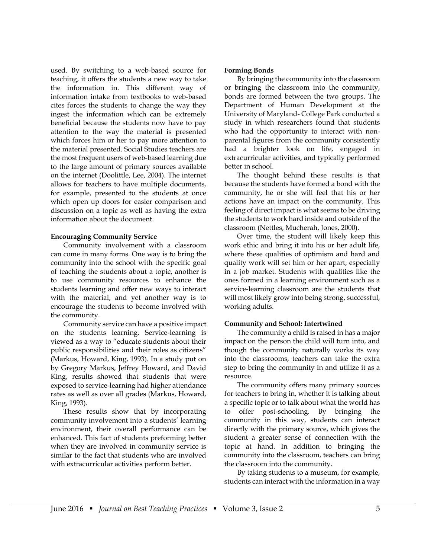used. By switching to a web-based source for teaching, it offers the students a new way to take the information in. This different way of information intake from textbooks to web-based cites forces the students to change the way they ingest the information which can be extremely beneficial because the students now have to pay attention to the way the material is presented which forces him or her to pay more attention to the material presented. Social Studies teachers are the most frequent users of web-based learning due to the large amount of primary sources available on the internet (Doolittle, Lee, 2004). The internet allows for teachers to have multiple documents, for example, presented to the students at once which open up doors for easier comparison and discussion on a topic as well as having the extra information about the document.

#### **Encouraging Community Service**

Community involvement with a classroom can come in many forms. One way is to bring the community into the school with the specific goal of teaching the students about a topic, another is to use community resources to enhance the students learning and offer new ways to interact with the material, and yet another way is to encourage the students to become involved with the community.

Community service can have a positive impact on the students learning. Service-learning is viewed as a way to "educate students about their public responsibilities and their roles as citizens" (Markus, Howard, King, 1993). In a study put on by Gregory Markus, Jeffrey Howard, and David King, results showed that students that were exposed to service-learning had higher attendance rates as well as over all grades (Markus, Howard, King, 1993).

These results show that by incorporating community involvement into a students' learning environment, their overall performance can be enhanced. This fact of students preforming better when they are involved in community service is similar to the fact that students who are involved with extracurricular activities perform better.

#### **Forming Bonds**

By bringing the community into the classroom or bringing the classroom into the community, bonds are formed between the two groups. The Department of Human Development at the University of Maryland- College Park conducted a study in which researchers found that students who had the opportunity to interact with nonparental figures from the community consistently had a brighter look on life, engaged in extracurricular activities, and typically performed better in school.

The thought behind these results is that because the students have formed a bond with the community, he or she will feel that his or her actions have an impact on the community. This feeling of direct impact is what seems to be driving the students to work hard inside and outside of the classroom (Nettles, Mucherah, Jones, 2000).

Over time, the student will likely keep this work ethic and bring it into his or her adult life, where these qualities of optimism and hard and quality work will set him or her apart, especially in a job market. Students with qualities like the ones formed in a learning environment such as a service-learning classroom are the students that will most likely grow into being strong, successful, working adults.

#### **Community and School: Intertwined**

The community a child is raised in has a major impact on the person the child will turn into, and though the community naturally works its way into the classrooms, teachers can take the extra step to bring the community in and utilize it as a resource.

The community offers many primary sources for teachers to bring in, whether it is talking about a specific topic or to talk about what the world has to offer post-schooling. By bringing the community in this way, students can interact directly with the primary source, which gives the student a greater sense of connection with the topic at hand. In addition to bringing the community into the classroom, teachers can bring the classroom into the community.

By taking students to a museum, for example, students can interact with the information in a way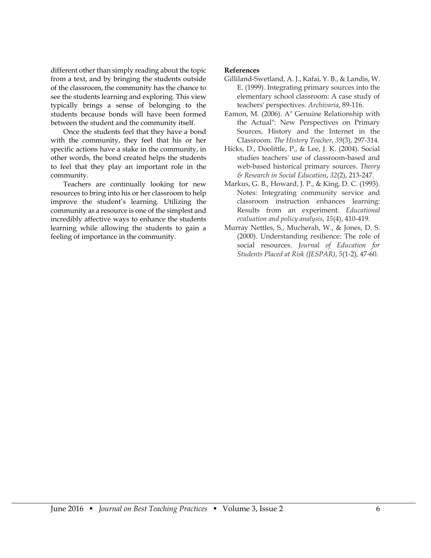different other than simply reading about the topic from a text, and by bringing the students outside of the classroom, the community has the chance to see the students learning and exploring. This view typically brings a sense of belonging to the students because bonds will have been formed between the student and the community itself.

Once the students feel that they have a bond with the community, they feel that his or her specific actions have a stake in the community, in other words, the bond created helps the students to feel that they play an important role in the community.

Teachers are continually looking for new resources to bring into his or her classroom to help improve the student's learning. Utilizing the community as a resource is one of the simplest and incredibly affective ways to enhance the students learning while allowing the students to gain a feeling of importance in the community.

- Gilliland-Swetland, A. J., Kafai, Y. B., & Landis, W. E. (1999). Integrating primary sources into the elementary school classroom: A case study of teachers' perspectives. *Archivaria*, 89-116.
- Eamon, M. (2006). A" Genuine Relationship with the Actual": New Perspectives on Primary Sources, History and the Internet in the Classroom. *The History Teacher*, *39*(3), 297-314.
- Hicks, D., Doolittle, P., & Lee, J. K. (2004). Social studies teachers' use of classroom-based and web-based historical primary sources. *Theory & Research in Social Education*, *32*(2), 213-247.
- Markus, G. B., Howard, J. P., & King, D. C. (1993). Notes: Integrating community service and classroom instruction enhances learning: Results from an experiment. *Educational evaluation and policy analysis*, *15*(4), 410-419.
- Murray Nettles, S., Mucherah, W., & Jones, D. S. (2000). Understanding resilience: The role of social resources. *Journal of Education for Students Placed at Risk (JESPAR)*, *5*(1-2), 47-60.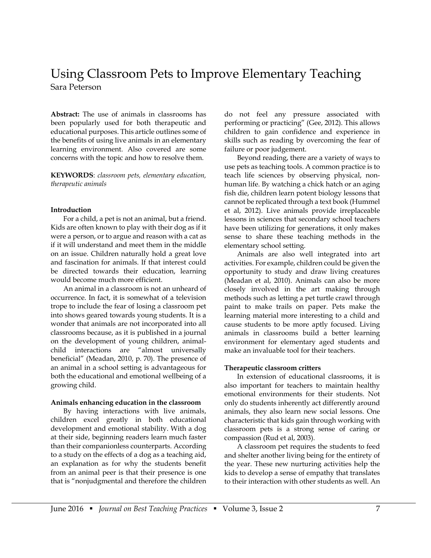# Using Classroom Pets to Improve Elementary Teaching Sara Peterson

**Abstract:** The use of animals in classrooms has been popularly used for both therapeutic and educational purposes. This article outlines some of the benefits of using live animals in an elementary learning environment. Also covered are some concerns with the topic and how to resolve them.

**KEYWORDS**: *classroom pets, elementary education, therapeutic animals*

#### **Introduction**

For a child, a pet is not an animal, but a friend. Kids are often known to play with their dog as if it were a person, or to argue and reason with a cat as if it will understand and meet them in the middle on an issue. Children naturally hold a great love and fascination for animals. If that interest could be directed towards their education, learning would become much more efficient.

An animal in a classroom is not an unheard of occurrence. In fact, it is somewhat of a television trope to include the fear of losing a classroom pet into shows geared towards young students. It is a wonder that animals are not incorporated into all classrooms because, as it is published in a journal on the development of young children, animalchild interactions are "almost universally beneficial" (Meadan, 2010, p. 70). The presence of an animal in a school setting is advantageous for both the educational and emotional wellbeing of a growing child.

#### **Animals enhancing education in the classroom**

By having interactions with live animals, children excel greatly in both educational development and emotional stability. With a dog at their side, beginning readers learn much faster than their companionless counterparts. According to a study on the effects of a dog as a teaching aid, an explanation as for why the students benefit from an animal peer is that their presence is one that is "nonjudgmental and therefore the children do not feel any pressure associated with performing or practicing" (Gee, 2012). This allows children to gain confidence and experience in skills such as reading by overcoming the fear of failure or poor judgement.

Beyond reading, there are a variety of ways to use pets as teaching tools. A common practice is to teach life sciences by observing physical, nonhuman life. By watching a chick hatch or an aging fish die, children learn potent biology lessons that cannot be replicated through a text book (Hummel et al, 2012). Live animals provide irreplaceable lessons in sciences that secondary school teachers have been utilizing for generations, it only makes sense to share these teaching methods in the elementary school setting.

Animals are also well integrated into art activities. For example, children could be given the opportunity to study and draw living creatures (Meadan et al, 2010). Animals can also be more closely involved in the art making through methods such as letting a pet turtle crawl through paint to make trails on paper. Pets make the learning material more interesting to a child and cause students to be more aptly focused. Living animals in classrooms build a better learning environment for elementary aged students and make an invaluable tool for their teachers.

#### **Therapeutic classroom critters**

In extension of educational classrooms, it is also important for teachers to maintain healthy emotional environments for their students. Not only do students inherently act differently around animals, they also learn new social lessons. One characteristic that kids gain through working with classroom pets is a strong sense of caring or compassion (Rud et al, 2003).

A classroom pet requires the students to feed and shelter another living being for the entirety of the year. These new nurturing activities help the kids to develop a sense of empathy that translates to their interaction with other students as well. An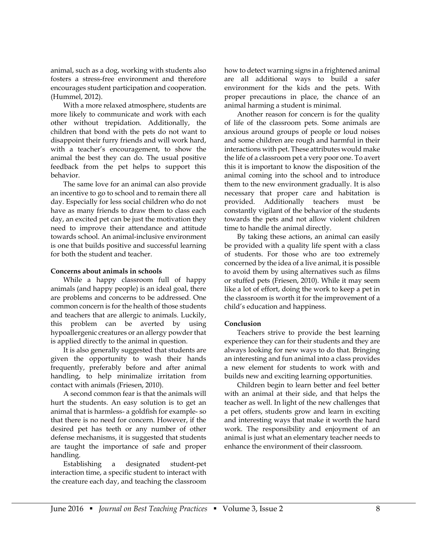animal, such as a dog, working with students also fosters a stress-free environment and therefore encourages student participation and cooperation. (Hummel, 2012).

With a more relaxed atmosphere, students are more likely to communicate and work with each other without trepidation. Additionally, the children that bond with the pets do not want to disappoint their furry friends and will work hard, with a teacher's encouragement, to show the animal the best they can do. The usual positive feedback from the pet helps to support this behavior.

The same love for an animal can also provide an incentive to go to school and to remain there all day. Especially for less social children who do not have as many friends to draw them to class each day, an excited pet can be just the motivation they need to improve their attendance and attitude towards school. An animal-inclusive environment is one that builds positive and successful learning for both the student and teacher.

#### **Concerns about animals in schools**

While a happy classroom full of happy animals (and happy people) is an ideal goal, there are problems and concerns to be addressed. One common concern is for the health of those students and teachers that are allergic to animals. Luckily, this problem can be averted by using hypoallergenic creatures or an allergy powder that is applied directly to the animal in question.

It is also generally suggested that students are given the opportunity to wash their hands frequently, preferably before and after animal handling, to help minimalize irritation from contact with animals (Friesen, 2010).

A second common fear is that the animals will hurt the students. An easy solution is to get an animal that is harmless- a goldfish for example- so that there is no need for concern. However, if the desired pet has teeth or any number of other defense mechanisms, it is suggested that students are taught the importance of safe and proper handling.

Establishing a designated student-pet interaction time, a specific student to interact with the creature each day, and teaching the classroom how to detect warning signs in a frightened animal are all additional ways to build a safer environment for the kids and the pets. With proper precautions in place, the chance of an animal harming a student is minimal.

Another reason for concern is for the quality of life of the classroom pets. Some animals are anxious around groups of people or loud noises and some children are rough and harmful in their interactions with pet. These attributes would make the life of a classroom pet a very poor one. To avert this it is important to know the disposition of the animal coming into the school and to introduce them to the new environment gradually. It is also necessary that proper care and habitation is provided. Additionally teachers must be constantly vigilant of the behavior of the students towards the pets and not allow violent children time to handle the animal directly.

By taking these actions, an animal can easily be provided with a quality life spent with a class of students. For those who are too extremely concerned by the idea of a live animal, it is possible to avoid them by using alternatives such as films or stuffed pets (Friesen, 2010). While it may seem like a lot of effort, doing the work to keep a pet in the classroom is worth it for the improvement of a child's education and happiness.

#### **Conclusion**

Teachers strive to provide the best learning experience they can for their students and they are always looking for new ways to do that. Bringing an interesting and fun animal into a class provides a new element for students to work with and builds new and exciting learning opportunities.

Children begin to learn better and feel better with an animal at their side, and that helps the teacher as well. In light of the new challenges that a pet offers, students grow and learn in exciting and interesting ways that make it worth the hard work. The responsibility and enjoyment of an animal is just what an elementary teacher needs to enhance the environment of their classroom.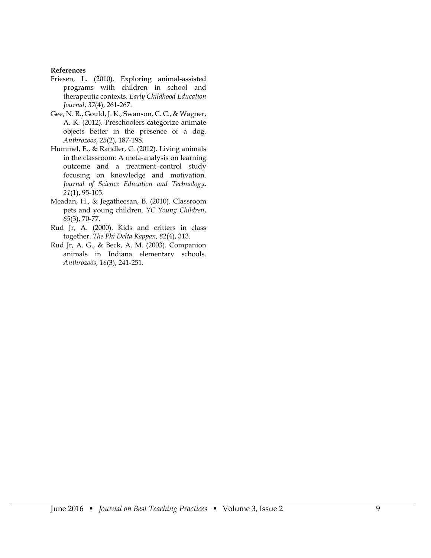- Friesen, L. (2010). Exploring animal-assisted programs with children in school and therapeutic contexts. *Early Childhood Education Journal*, *37*(4), 261-267.
- Gee, N. R., Gould, J. K., Swanson, C. C., & Wagner, A. K. (2012). Preschoolers categorize animate objects better in the presence of a dog. *Anthrozoös*, *25*(2), 187-198.
- Hummel, E., & Randler, C. (2012). Living animals in the classroom: A meta-analysis on learning outcome and a treatment–control study focusing on knowledge and motivation. *Journal of Science Education and Technology*, *21*(1), 95-105.
- Meadan, H., & Jegatheesan, B. (2010). Classroom pets and young children. *YC Young Children*, *65*(3), 70-77.
- Rud Jr, A. (2000). Kids and critters in class together. *The Phi Delta Kappan, 82*(4), 313.
- Rud Jr, A. G., & Beck, A. M. (2003). Companion animals in Indiana elementary schools. *Anthrozoös*, *16*(3), 241-251.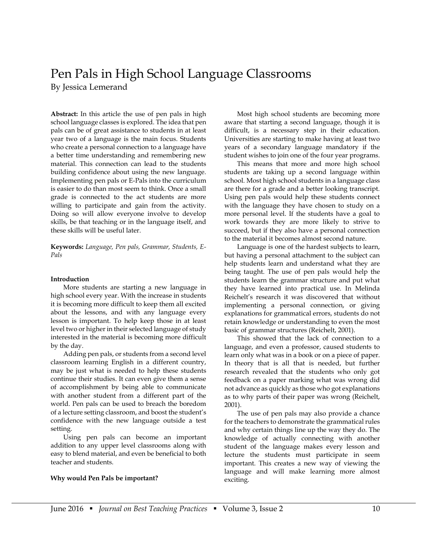# Pen Pals in High School Language Classrooms

By Jessica Lemerand

**Abstract:** In this article the use of pen pals in high school language classes is explored. The idea that pen pals can be of great assistance to students in at least year two of a language is the main focus. Students who create a personal connection to a language have a better time understanding and remembering new material. This connection can lead to the students building confidence about using the new language. Implementing pen pals or E-Pals into the curriculum is easier to do than most seem to think. Once a small grade is connected to the act students are more willing to participate and gain from the activity. Doing so will allow everyone involve to develop skills, be that teaching or in the language itself, and these skills will be useful later.

**Keywords:** *Language, Pen pals, Grammar, Students, E-Pals*

### **Introduction**

More students are starting a new language in high school every year. With the increase in students it is becoming more difficult to keep them all excited about the lessons, and with any language every lesson is important. To help keep those in at least level two or higher in their selected language of study interested in the material is becoming more difficult by the day.

Adding pen pals, or students from a second level classroom learning English in a different country, may be just what is needed to help these students continue their studies. It can even give them a sense of accomplishment by being able to communicate with another student from a different part of the world. Pen pals can be used to breach the boredom of a lecture setting classroom, and boost the student's confidence with the new language outside a test setting.

Using pen pals can become an important addition to any upper level classrooms along with easy to blend material, and even be beneficial to both teacher and students.

#### **Why would Pen Pals be important?**

Most high school students are becoming more aware that starting a second language, though it is difficult, is a necessary step in their education. Universities are starting to make having at least two years of a secondary language mandatory if the student wishes to join one of the four year programs.

This means that more and more high school students are taking up a second language within school. Most high school students in a language class are there for a grade and a better looking transcript. Using pen pals would help these students connect with the language they have chosen to study on a more personal level. If the students have a goal to work towards they are more likely to strive to succeed, but if they also have a personal connection to the material it becomes almost second nature.

Language is one of the hardest subjects to learn, but having a personal attachment to the subject can help students learn and understand what they are being taught. The use of pen pals would help the students learn the grammar structure and put what they have learned into practical use. In Melinda Reichelt's research it was discovered that without implementing a personal connection, or giving explanations for grammatical errors, students do not retain knowledge or understanding to even the most basic of grammar structures (Reichelt, 2001).

This showed that the lack of connection to a language, and even a professor, caused students to learn only what was in a book or on a piece of paper. In theory that is all that is needed, but further research revealed that the students who only got feedback on a paper marking what was wrong did not advance as quickly as those who got explanations as to why parts of their paper was wrong (Reichelt, 2001).

The use of pen pals may also provide a chance for the teachers to demonstrate the grammatical rules and why certain things line up the way they do. The knowledge of actually connecting with another student of the language makes every lesson and lecture the students must participate in seem important. This creates a new way of viewing the language and will make learning more almost exciting.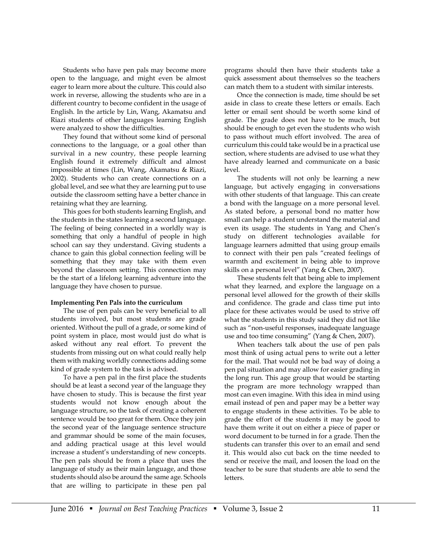Students who have pen pals may become more open to the language, and might even be almost eager to learn more about the culture. This could also work in reverse, allowing the students who are in a different country to become confident in the usage of English. In the article by Lin, Wang, Akamatsu and Riazi students of other languages learning English were analyzed to show the difficulties.

They found that without some kind of personal connections to the language, or a goal other than survival in a new country, these people learning English found it extremely difficult and almost impossible at times (Lin, Wang, Akamatsu & Riazi, 2002). Students who can create connections on a global level, and see what they are learning put to use outside the classroom setting have a better chance in retaining what they are learning.

This goes for both students learning English, and the students in the states learning a second language. The feeling of being connected in a worldly way is something that only a handful of people in high school can say they understand. Giving students a chance to gain this global connection feeling will be something that they may take with them even beyond the classroom setting. This connection may be the start of a lifelong learning adventure into the language they have chosen to pursue.

#### **Implementing Pen Pals into the curriculum**

The use of pen pals can be very beneficial to all students involved, but most students are grade oriented. Without the pull of a grade, or some kind of point system in place, most would just do what is asked without any real effort. To prevent the students from missing out on what could really help them with making worldly connections adding some kind of grade system to the task is advised.

To have a pen pal in the first place the students should be at least a second year of the language they have chosen to study. This is because the first year students would not know enough about the language structure, so the task of creating a coherent sentence would be too great for them. Once they join the second year of the language sentence structure and grammar should be some of the main focuses, and adding practical usage at this level would increase a student's understanding of new concepts. The pen pals should be from a place that uses the language of study as their main language, and those students should also be around the same age. Schools that are willing to participate in these pen pal programs should then have their students take a quick assessment about themselves so the teachers can match them to a student with similar interests.

Once the connection is made, time should be set aside in class to create these letters or emails. Each letter or email sent should be worth some kind of grade. The grade does not have to be much, but should be enough to get even the students who wish to pass without much effort involved. The area of curriculum this could take would be in a practical use section, where students are advised to use what they have already learned and communicate on a basic level.

The students will not only be learning a new language, but actively engaging in conversations with other students of that language. This can create a bond with the language on a more personal level. As stated before, a personal bond no matter how small can help a student understand the material and even its usage. The students in Yang and Chen's study on different technologies available for language learners admitted that using group emails to connect with their pen pals "created feelings of warmth and excitement in being able to improve skills on a personal level" (Yang & Chen, 2007).

These students felt that being able to implement what they learned, and explore the language on a personal level allowed for the growth of their skills and confidence. The grade and class time put into place for these activates would be used to strive off what the students in this study said they did not like such as "non-useful responses, inadequate language use and too time consuming" (Yang & Chen, 2007).

When teachers talk about the use of pen pals most think of using actual pens to write out a letter for the mail. That would not be bad way of doing a pen pal situation and may allow for easier grading in the long run. This age group that would be starting the program are more technology wrapped than most can even imagine. With this idea in mind using email instead of pen and paper may be a better way to engage students in these activities. To be able to grade the effort of the students it may be good to have them write it out on either a piece of paper or word document to be turned in for a grade. Then the students can transfer this over to an email and send it. This would also cut back on the time needed to send or receive the mail, and loosen the load on the teacher to be sure that students are able to send the letters.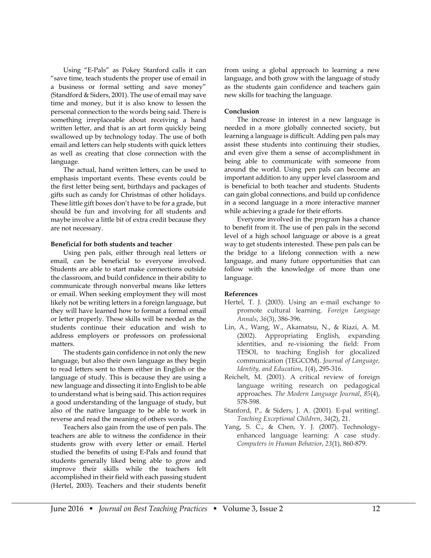Using "E-Pals" as Pokey Stanford calls it can "save time, teach students the proper use of email in a business or formal setting and save money" (Standford & Siders, 2001). The use of email may save time and money, but it is also know to lessen the personal connection to the words being said. There is something irreplaceable about receiving a hand written letter, and that is an art form quickly being swallowed up by technology today. The use of both email and letters can help students with quick letters as well as creating that close connection with the language.

The actual, hand written letters, can be used to emphasis important events. These events could be the first letter being sent, birthdays and packages of gifts such as candy for Christmas of other holidays. These little gift boxes don't have to be for a grade, but should be fun and involving for all students and maybe involve a little bit of extra credit because they are not necessary.

#### **Beneficial for both students and teacher**

Using pen pals, either through real letters or email, can be beneficial to everyone involved. Students are able to start make connections outside the classroom, and build confidence in their ability to communicate through nonverbal means like letters or email. When seeking employment they will most likely not be writing letters in a foreign language, but they will have learned how to format a formal email or letter properly. These skills will be needed as the students continue their education and wish to address employers or professors on professional matters.

The students gain confidence in not only the new language, but also their own language as they begin to read letters sent to them either in English or the language of study. This is because they are using a new language and dissecting it into English to be able to understand what is being said. This action requires a good understanding of the language of study, but also of the native language to be able to work in reverse and read the meaning of others words.

Teachers also gain from the use of pen pals. The teachers are able to witness the confidence in their students grow with every letter or email. Hertel studied the benefits of using E-Pals and found that students generally liked being able to grow and improve their skills while the teachers felt accomplished in their field with each passing student (Hertel, 2003). Teachers and their students benefit from using a global approach to learning a new language, and both grow with the language of study as the students gain confidence and teachers gain new skills for teaching the language.

#### **Conclusion**

The increase in interest in a new language is needed in a more globally connected society, but learning a language is difficult. Adding pen pals may assist these students into continuing their studies, and even give them a sense of accomplishment in being able to communicate with someone from around the world. Using pen pals can become an important addition to any upper level classroom and is beneficial to both teacher and students. Students can gain global connections, and build up confidence in a second language in a more interactive manner while achieving a grade for their efforts.

Everyone involved in the program has a chance to benefit from it. The use of pen pals in the second level of a high school language or above is a great way to get students interested. These pen pals can be the bridge to a lifelong connection with a new language, and many future opportunities that can follow with the knowledge of more than one language.

- Hertel, T. J. (2003). Using an e-mail exchange to promote cultural learning. *Foreign Language Annals*, *36*(3), 386-396.
- Lin, A., Wang, W., Akamatsu, N., & Riazi, A. M. (2002). Appropriating English, expanding identities, and re-visioning the field: From TESOL to teaching English for glocalized communication (TEGCOM). *Journal of Language, Identity, and Education*, *1*(4), 295-316.
- Reichelt, M. (2001). A critical review of foreign language writing research on pedagogical approaches. *The Modern Language Journal*, *85*(4), 578-598.
- Stanford, P., & Siders, J. A. (2001). E-pal writing!. *Teaching Exceptional Children*, *34*(2), 21.
- Yang, S. C., & Chen, Y. J. (2007). Technologyenhanced language learning: A case study. *Computers in Human Behavior*, *23*(1), 860-879.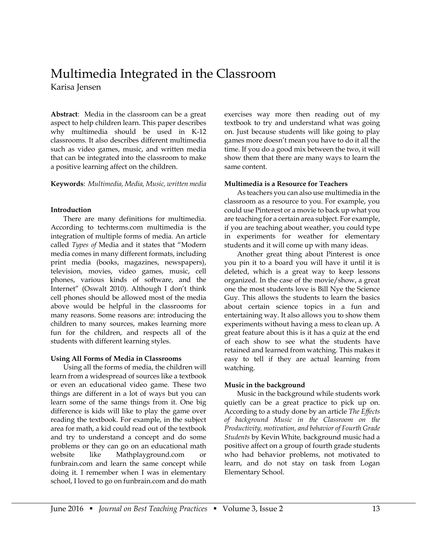# Multimedia Integrated in the Classroom

Karisa Jensen

**Abstract**: Media in the classroom can be a great aspect to help children learn. This paper describes why multimedia should be used in K-12 classrooms. It also describes different multimedia such as video games, music, and written media that can be integrated into the classroom to make a positive learning affect on the children.

## **Keywords**: *Multimedia, Media, Music, written media*

## **Introduction**

There are many definitions for multimedia. According to techterms.com multimedia is the integration of multiple forms of media. An article called *Types of* Media and it states that "Modern media comes in many different formats, including print media (books, magazines, newspapers), television, movies, video games, music, cell phones, various kinds of software, and the Internet" (Oswalt 2010). Although I don't think cell phones should be allowed most of the media above would be helpful in the classrooms for many reasons. Some reasons are: introducing the children to many sources, makes learning more fun for the children, and respects all of the students with different learning styles.

# **Using All Forms of Media in Classrooms**

Using all the forms of media, the children will learn from a widespread of sources like a textbook or even an educational video game. These two things are different in a lot of ways but you can learn some of the same things from it. One big difference is kids will like to play the game over reading the textbook. For example, in the subject area for math, a kid could read out of the textbook and try to understand a concept and do some problems or they can go on an educational math website like Mathplayground.com or funbrain.com and learn the same concept while doing it. I remember when I was in elementary school, I loved to go on funbrain.com and do math

exercises way more then reading out of my textbook to try and understand what was going on. Just because students will like going to play games more doesn't mean you have to do it all the time. If you do a good mix between the two, it will show them that there are many ways to learn the same content.

## **Multimedia is a Resource for Teachers**

As teachers you can also use multimedia in the classroom as a resource to you. For example, you could use Pinterest or a movie to back up what you are teaching for a certain area subject. For example, if you are teaching about weather, you could type in experiments for weather for elementary students and it will come up with many ideas.

Another great thing about Pinterest is once you pin it to a board you will have it until it is deleted, which is a great way to keep lessons organized. In the case of the movie/show, a great one the most students love is Bill Nye the Science Guy. This allows the students to learn the basics about certain science topics in a fun and entertaining way. It also allows you to show them experiments without having a mess to clean up. A great feature about this is it has a quiz at the end of each show to see what the students have retained and learned from watching. This makes it easy to tell if they are actual learning from watching.

# **Music in the background**

Music in the background while students work quietly can be a great practice to pick up on. According to a study done by an article *The Effects of background Music in the Classroom on the Productivity, motivation, and behavior of Fourth Grade Students* by Kevin White*,* background music had a positive affect on a group of fourth grade students who had behavior problems, not motivated to learn, and do not stay on task from Logan Elementary School.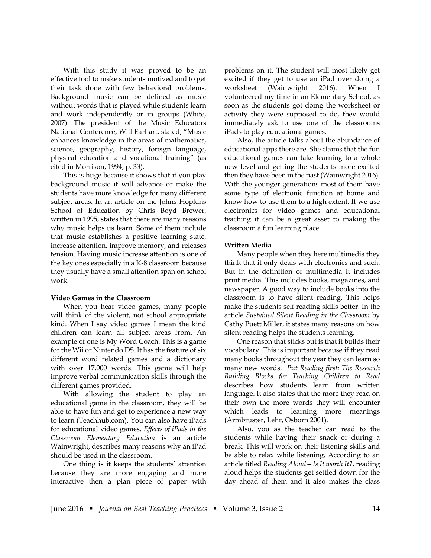With this study it was proved to be an effective tool to make students motived and to get their task done with few behavioral problems. Background music can be defined as music without words that is played while students learn and work independently or in groups (White, 2007). The president of the Music Educators National Conference, Will Earhart, stated, "Music enhances knowledge in the areas of mathematics, science, geography, history, foreign language, physical education and vocational training" (as cited in Morrison, 1994, p. 33).

This is huge because it shows that if you play background music it will advance or make the students have more knowledge for many different subject areas. In an article on the Johns Hopkins School of Education by Chris Boyd Brewer, written in 1995, states that there are many reasons why music helps us learn. Some of them include that music establishes a positive learning state, increase attention, improve memory, and releases tension. Having music increase attention is one of the key ones especially in a K-8 classroom because they usually have a small attention span on school work.

#### **Video Games in the Classroom**

When you hear video games, many people will think of the violent, not school appropriate kind. When I say video games I mean the kind children can learn all subject areas from. An example of one is My Word Coach. This is a game for the Wii or Nintendo DS. It has the feature of six different word related games and a dictionary with over 17,000 words. This game will help improve verbal communication skills through the different games provided.

With allowing the student to play an educational game in the classroom, they will be able to have fun and get to experience a new way to learn (Teachhub.com). You can also have iPads for educational video games. *Effects of iPads in the Classroom Elementary Education* is an article Wainwright, describes many reasons why an iPad should be used in the classroom.

One thing is it keeps the students' attention because they are more engaging and more interactive then a plan piece of paper with problems on it. The student will most likely get excited if they get to use an iPad over doing a worksheet (Wainwright 2016). When I volunteered my time in an Elementary School, as soon as the students got doing the worksheet or activity they were supposed to do, they would immediately ask to use one of the classrooms iPads to play educational games.

Also, the article talks about the abundance of educational apps there are. She claims that the fun educational games can take learning to a whole new level and getting the students more excited then they have been in the past (Wainwright 2016). With the younger generations most of them have some type of electronic function at home and know how to use them to a high extent. If we use electronics for video games and educational teaching it can be a great asset to making the classroom a fun learning place.

#### **Written Media**

Many people when they here multimedia they think that it only deals with electronics and such. But in the definition of multimedia it includes print media. This includes books, magazines, and newspaper. A good way to include books into the classroom is to have silent reading. This helps make the students self reading skills better. In the article *Sustained Silent Reading in the Classroom* by Cathy Puett Miller, it states many reasons on how silent reading helps the students learning.

One reason that sticks out is that it builds their vocabulary. This is important because if they read many books throughout the year they can learn so many new words. *Put Reading first: The Research Building Blocks for Teaching Children to Read* describes how students learn from written language. It also states that the more they read on their own the more words they will encounter which leads to learning more meanings (Armbruster, Lehr, Osborn 2001).

Also, you as the teacher can read to the students while having their snack or during a break. This will work on their listening skills and be able to relax while listening. According to an article titled *Reading Aloud—Is It worth It?*, reading aloud helps the students get settled down for the day ahead of them and it also makes the class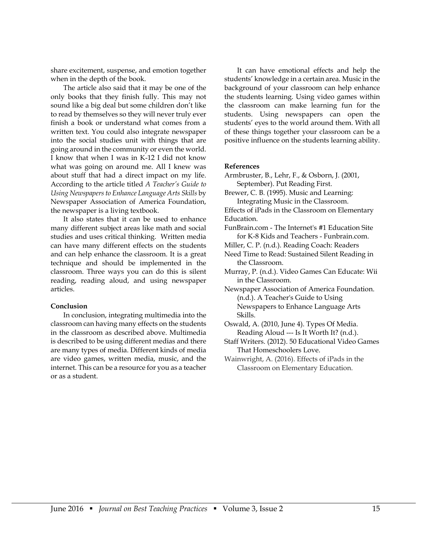share excitement, suspense, and emotion together when in the depth of the book.

The article also said that it may be one of the only books that they finish fully. This may not sound like a big deal but some children don't like to read by themselves so they will never truly ever finish a book or understand what comes from a written text. You could also integrate newspaper into the social studies unit with things that are going around in the community or even the world. I know that when I was in K-12 I did not know what was going on around me. All I knew was about stuff that had a direct impact on my life. According to the article titled *A Teacher's Guide to Using Newspapers to Enhance Language Arts Skills* by Newspaper Association of America Foundation, the newspaper is a living textbook.

It also states that it can be used to enhance many different subject areas like math and social studies and uses critical thinking. Written media can have many different effects on the students and can help enhance the classroom. It is a great technique and should be implemented in the classroom. Three ways you can do this is silent reading, reading aloud, and using newspaper articles.

#### **Conclusion**

In conclusion, integrating multimedia into the classroom can having many effects on the students in the classroom as described above. Multimedia is described to be using different medias and there are many types of media. Different kinds of media are video games, written media, music, and the internet. This can be a resource for you as a teacher or as a student.

It can have emotional effects and help the students' knowledge in a certain area. Music in the background of your classroom can help enhance the students learning. Using video games within the classroom can make learning fun for the students. Using newspapers can open the students' eyes to the world around them. With all of these things together your classroom can be a positive influence on the students learning ability.

#### **References**

- Armbruster, B., Lehr, F., & Osborn, J. (2001, September). Put Reading First.
- Brewer, C. B. (1995). Music and Learning: Integrating Music in the Classroom.

Effects of iPads in the Classroom on Elementary Education.

- FunBrain.com The Internet's #1 Education Site for K-8 Kids and Teachers - Funbrain.com.
- Miller, C. P. (n.d.). Reading Coach: Readers
- Need Time to Read: Sustained Silent Reading in the Classroom.
- Murray, P. (n.d.). Video Games Can Educate: Wii in the Classroom.
- Newspaper Association of America Foundation. (n.d.). A Teacher's Guide to Using Newspapers to Enhance Language Arts Skills.
- Oswald, A. (2010, June 4). Types Of Media. Reading Aloud --- Is It Worth It? (n.d.).
- Staff Writers. (2012). 50 Educational Video Games That Homeschoolers Love.
- Wainwright, A. (2016). Effects of iPads in the Classroom on Elementary Education.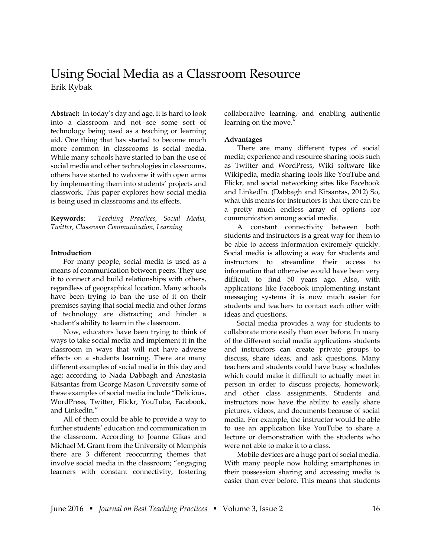# Using Social Media as a Classroom Resource Erik Rybak

**Abstract:** In today's day and age, it is hard to look into a classroom and not see some sort of technology being used as a teaching or learning aid. One thing that has started to become much more common in classrooms is social media. While many schools have started to ban the use of social media and other technologies in classrooms, others have started to welcome it with open arms by implementing them into students' projects and classwork. This paper explores how social media is being used in classrooms and its effects.

**Keywords**: *Teaching Practices, Social Media, Twitter, Classroom Communication, Learning* 

#### **Introduction**

For many people, social media is used as a means of communication between peers. They use it to connect and build relationships with others, regardless of geographical location. Many schools have been trying to ban the use of it on their premises saying that social media and other forms of technology are distracting and hinder a student's ability to learn in the classroom.

Now, educators have been trying to think of ways to take social media and implement it in the classroom in ways that will not have adverse effects on a students learning. There are many different examples of social media in this day and age; according to Nada Dabbagh and Anastasia Kitsantas from George Mason University some of these examples of social media include "Delicious, WordPress, Twitter, Flickr, YouTube, Facebook, and LinkedIn."

All of them could be able to provide a way to further students' education and communication in the classroom. According to Joanne Gikas and Michael M. Grant from the University of Memphis there are 3 different reoccurring themes that involve social media in the classroom; "engaging learners with constant connectivity, fostering collaborative learning, and enabling authentic learning on the move."

#### **Advantages**

There are many different types of social media; experience and resource sharing tools such as Twitter and WordPress, Wiki software like Wikipedia, media sharing tools like YouTube and Flickr, and social networking sites like Facebook and LinkedIn. (Dabbagh and Kitsantas, 2012) So, what this means for instructors is that there can be a pretty much endless array of options for communication among social media.

A constant connectivity between both students and instructors is a great way for them to be able to access information extremely quickly. Social media is allowing a way for students and instructors to streamline their access information that otherwise would have been very difficult to find 50 years ago. Also, with applications like Facebook implementing instant messaging systems it is now much easier for students and teachers to contact each other with ideas and questions.

Social media provides a way for students to collaborate more easily than ever before. In many of the different social media applications students and instructors can create private groups to discuss, share ideas, and ask questions. Many teachers and students could have busy schedules which could make it difficult to actually meet in person in order to discuss projects, homework, and other class assignments. Students and instructors now have the ability to easily share pictures, videos, and documents because of social media. For example, the instructor would be able to use an application like YouTube to share a lecture or demonstration with the students who were not able to make it to a class.

Mobile devices are a huge part of social media. With many people now holding smartphones in their possession sharing and accessing media is easier than ever before. This means that students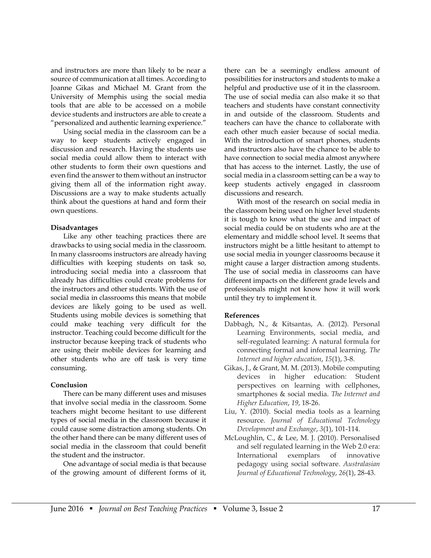and instructors are more than likely to be near a source of communication at all times. According to Joanne Gikas and Michael M. Grant from the University of Memphis using the social media tools that are able to be accessed on a mobile device students and instructors are able to create a "personalized and authentic learning experience."

Using social media in the classroom can be a way to keep students actively engaged in discussion and research. Having the students use social media could allow them to interact with other students to form their own questions and even find the answer to them without an instructor giving them all of the information right away. Discussions are a way to make students actually think about the questions at hand and form their own questions.

#### **Disadvantages**

Like any other teaching practices there are drawbacks to using social media in the classroom. In many classrooms instructors are already having difficulties with keeping students on task so, introducing social media into a classroom that already has difficulties could create problems for the instructors and other students. With the use of social media in classrooms this means that mobile devices are likely going to be used as well. Students using mobile devices is something that could make teaching very difficult for the instructor. Teaching could become difficult for the instructor because keeping track of students who are using their mobile devices for learning and other students who are off task is very time consuming.

#### **Conclusion**

There can be many different uses and misuses that involve social media in the classroom. Some teachers might become hesitant to use different types of social media in the classroom because it could cause some distraction among students. On the other hand there can be many different uses of social media in the classroom that could benefit the student and the instructor.

One advantage of social media is that because of the growing amount of different forms of it, there can be a seemingly endless amount of possibilities for instructors and students to make a helpful and productive use of it in the classroom. The use of social media can also make it so that teachers and students have constant connectivity in and outside of the classroom. Students and teachers can have the chance to collaborate with each other much easier because of social media. With the introduction of smart phones, students and instructors also have the chance to be able to have connection to social media almost anywhere that has access to the internet. Lastly, the use of social media in a classroom setting can be a way to keep students actively engaged in classroom discussions and research.

With most of the research on social media in the classroom being used on higher level students it is tough to know what the use and impact of social media could be on students who are at the elementary and middle school level. It seems that instructors might be a little hesitant to attempt to use social media in younger classrooms because it might cause a larger distraction among students. The use of social media in classrooms can have different impacts on the different grade levels and professionals might not know how it will work until they try to implement it.

- Dabbagh, N., & Kitsantas, A. (2012). Personal Learning Environments, social media, and self-regulated learning: A natural formula for connecting formal and informal learning. *The Internet and higher education*, *15*(1), 3-8.
- Gikas, J., & Grant, M. M. (2013). Mobile computing devices in higher education: Student perspectives on learning with cellphones, smartphones & social media. *The Internet and Higher Education*, *19*, 18-26.
- Liu, Y. (2010). Social media tools as a learning resource. *Journal of Educational Technology Development and Exchange*, *3*(1), 101-114.
- McLoughlin, C., & Lee, M. J. (2010). Personalised and self regulated learning in the Web 2.0 era: International exemplars of innovative pedagogy using social software. *Australasian Journal of Educational Technology*, *26*(1), 28-43.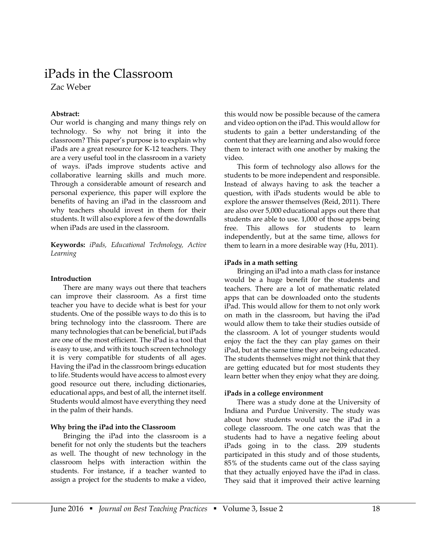# iPads in the Classroom

Zac Weber

#### **Abstract:**

Our world is changing and many things rely on technology. So why not bring it into the classroom? This paper's purpose is to explain why iPads are a great resource for K-12 teachers. They are a very useful tool in the classroom in a variety of ways. iPads improve students active and collaborative learning skills and much more. Through a considerable amount of research and personal experience, this paper will explore the benefits of having an iPad in the classroom and why teachers should invest in them for their students. It will also explore a few of the downfalls when iPads are used in the classroom.

**Keywords:** *iPads, Educational Technology, Active Learning*

#### **Introduction**

There are many ways out there that teachers can improve their classroom. As a first time teacher you have to decide what is best for your students. One of the possible ways to do this is to bring technology into the classroom. There are many technologies that can be beneficial, but iPads are one of the most efficient. The iPad is a tool that is easy to use, and with its touch screen technology it is very compatible for students of all ages. Having the iPad in the classroom brings education to life. Students would have access to almost every good resource out there, including dictionaries, educational apps, and best of all, the internet itself. Students would almost have everything they need in the palm of their hands.

#### **Why bring the iPad into the Classroom**

Bringing the iPad into the classroom is a benefit for not only the students but the teachers as well. The thought of new technology in the classroom helps with interaction within the students. For instance, if a teacher wanted to assign a project for the students to make a video, this would now be possible because of the camera and video option on the iPad. This would allow for students to gain a better understanding of the content that they are learning and also would force them to interact with one another by making the video.

This form of technology also allows for the students to be more independent and responsible. Instead of always having to ask the teacher a question, with iPads students would be able to explore the answer themselves (Reid, 2011). There are also over 5,000 educational apps out there that students are able to use. 1,000 of those apps being free. This allows for students to learn independently, but at the same time, allows for them to learn in a more desirable way (Hu, 2011).

#### **iPads in a math setting**

Bringing an iPad into a math class for instance would be a huge benefit for the students and teachers. There are a lot of mathematic related apps that can be downloaded onto the students iPad. This would allow for them to not only work on math in the classroom, but having the iPad would allow them to take their studies outside of the classroom. A lot of younger students would enjoy the fact the they can play games on their iPad, but at the same time they are being educated. The students themselves might not think that they are getting educated but for most students they learn better when they enjoy what they are doing.

#### **iPads in a college environment**

There was a study done at the University of Indiana and Purdue University. The study was about how students would use the iPad in a college classroom. The one catch was that the students had to have a negative feeling about iPads going in to the class. 209 students participated in this study and of those students, 85% of the students came out of the class saying that they actually enjoyed have the iPad in class. They said that it improved their active learning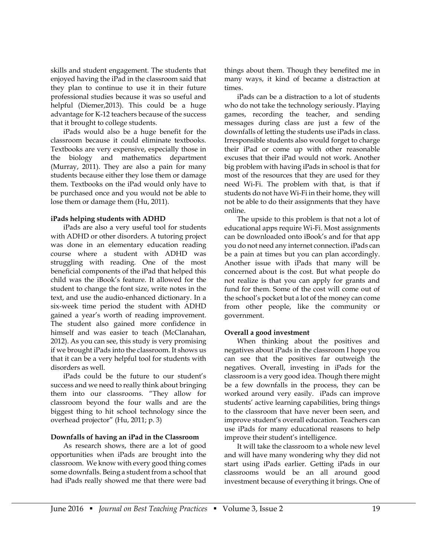skills and student engagement. The students that enjoyed having the iPad in the classroom said that they plan to continue to use it in their future professional studies because it was so useful and helpful (Diemer,2013). This could be a huge advantage for K-12 teachers because of the success that it brought to college students.

iPads would also be a huge benefit for the classroom because it could eliminate textbooks. Textbooks are very expensive, especially those in the biology and mathematics department (Murray, 2011). They are also a pain for many students because either they lose them or damage them. Textbooks on the iPad would only have to be purchased once and you would not be able to lose them or damage them (Hu, 2011).

## **iPads helping students with ADHD**

iPads are also a very useful tool for students with ADHD or other disorders. A tutoring project was done in an elementary education reading course where a student with ADHD was struggling with reading. One of the most beneficial components of the iPad that helped this child was the iBook's feature. It allowed for the student to change the font size, write notes in the text, and use the audio-enhanced dictionary. In a six-week time period the student with ADHD gained a year's worth of reading improvement. The student also gained more confidence in himself and was easier to teach (McClanahan, 2012). As you can see, this study is very promising if we brought iPads into the classroom. It shows us that it can be a very helpful tool for students with disorders as well.

iPads could be the future to our student's success and we need to really think about bringing them into our classrooms. "They allow for classroom beyond the four walls and are the biggest thing to hit school technology since the overhead projector" (Hu, 2011; p. 3)

#### **Downfalls of having an iPad in the Classroom**

As research shows, there are a lot of good opportunities when iPads are brought into the classroom. We know with every good thing comes some downfalls. Being a student from a school that had iPads really showed me that there were bad things about them. Though they benefited me in many ways, it kind of became a distraction at times.

iPads can be a distraction to a lot of students who do not take the technology seriously. Playing games, recording the teacher, and sending messages during class are just a few of the downfalls of letting the students use iPads in class. Irresponsible students also would forget to charge their iPad or come up with other reasonable excuses that their iPad would not work. Another big problem with having iPads in school is that for most of the resources that they are used for they need Wi-Fi. The problem with that, is that if students do not have Wi-Fi in their home, they will not be able to do their assignments that they have online.

The upside to this problem is that not a lot of educational apps require Wi-Fi. Most assignments can be downloaded onto iBook's and for that app you do not need any internet connection. iPads can be a pain at times but you can plan accordingly. Another issue with iPads that many will be concerned about is the cost. But what people do not realize is that you can apply for grants and fund for them. Some of the cost will come out of the school's pocket but a lot of the money can come from other people, like the community or government.

# **Overall a good investment**

When thinking about the positives and negatives about iPads in the classroom I hope you can see that the positives far outweigh the negatives. Overall, investing in iPads for the classroom is a very good idea. Though there might be a few downfalls in the process, they can be worked around very easily. iPads can improve students' active learning capabilities, bring things to the classroom that have never been seen, and improve student's overall education. Teachers can use iPads for many educational reasons to help improve their student's intelligence.

It will take the classroom to a whole new level and will have many wondering why they did not start using iPads earlier. Getting iPads in our classrooms would be an all around good investment because of everything it brings. One of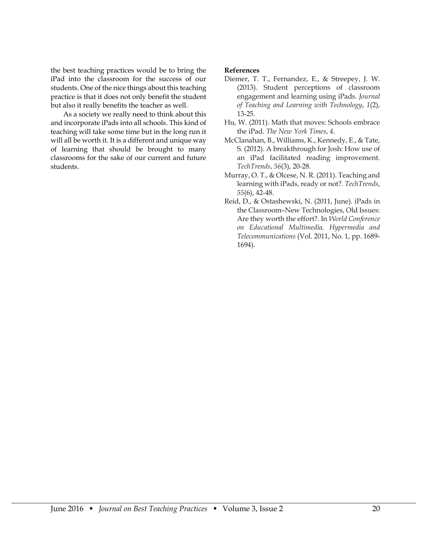the best teaching practices would be to bring the iPad into the classroom for the success of our students. One of the nice things about this teaching practice is that it does not only benefit the student but also it really benefits the teacher as well.

As a society we really need to think about this and incorporate iPads into all schools. This kind of teaching will take some time but in the long run it will all be worth it. It is a different and unique way of learning that should be brought to many classrooms for the sake of our current and future students.

- Diemer, T. T., Fernandez, E., & Streepey, J. W. (2013). Student perceptions of classroom engagement and learning using iPads. *Journal of Teaching and Learning with Technology*, *1*(2), 13-25.
- Hu, W. (2011). Math that moves: Schools embrace the iPad. *The New York Times*, *4*.
- McClanahan, B., Williams, K., Kennedy, E., & Tate, S. (2012). A breakthrough for Josh: How use of an iPad facilitated reading improvement. *TechTrends*, *56*(3), 20-28.
- Murray, O. T., & Olcese, N. R. (2011). Teaching and learning with iPads, ready or not?. *TechTrends*, *55*(6), 42-48.
- Reid, D., & Ostashewski, N. (2011, June). iPads in the Classroom–New Technologies, Old Issues: Are they worth the effort?. In *World Conference on Educational Multimedia, Hypermedia and Telecommunications* (Vol. 2011, No. 1, pp. 1689- 1694).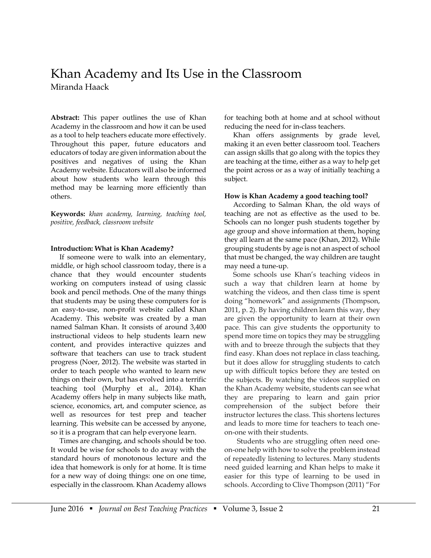# Khan Academy and Its Use in the Classroom Miranda Haack

**Abstract:** This paper outlines the use of Khan Academy in the classroom and how it can be used as a tool to help teachers educate more effectively. Throughout this paper, future educators and educators of today are given information about the positives and negatives of using the Khan Academy website. Educators will also be informed about how students who learn through this method may be learning more efficiently than others.

**Keywords:** *khan academy, learning, teaching tool, positive, feedback, classroom website*

#### **Introduction: What is Khan Academy?**

If someone were to walk into an elementary, middle, or high school classroom today, there is a chance that they would encounter students working on computers instead of using classic book and pencil methods. One of the many things that students may be using these computers for is an easy-to-use, non-profit website called Khan Academy. This website was created by a man named Salman Khan. It consists of around 3,400 instructional videos to help students learn new content, and provides interactive quizzes and software that teachers can use to track student progress (Noer, 2012). The website was started in order to teach people who wanted to learn new things on their own, but has evolved into a terrific teaching tool (Murphy et al., 2014). Khan Academy offers help in many subjects like math, science, economics, art, and computer science, as well as resources for test prep and teacher learning. This website can be accessed by anyone, so it is a program that can help everyone learn.

 Times are changing, and schools should be too. It would be wise for schools to do away with the standard hours of monotonous lecture and the idea that homework is only for at home. It is time for a new way of doing things: one on one time, especially in the classroom*.* Khan Academy allows for teaching both at home and at school without reducing the need for in-class teachers.

 Khan offers assignments by grade level, making it an even better classroom tool. Teachers can assign skills that go along with the topics they are teaching at the time, either as a way to help get the point across or as a way of initially teaching a subject.

## **How is Khan Academy a good teaching tool?**

According to Salman Khan, the old ways of teaching are not as effective as the used to be. Schools can no longer push students together by age group and shove information at them, hoping they all learn at the same pace (Khan, 2012). While grouping students by age is not an aspect of school that must be changed, the way children are taught may need a tune-up.

 Some schools use Khan's teaching videos in such a way that children learn at home by watching the videos, and then class time is spent doing "homework" and assignments (Thompson, 2011, p. 2). By having children learn this way, they are given the opportunity to learn at their own pace. This can give students the opportunity to spend more time on topics they may be struggling with and to breeze through the subjects that they find easy. Khan does not replace in class teaching, but it does allow for struggling students to catch up with difficult topics before they are tested on the subjects. By watching the videos supplied on the Khan Academy website, students can see what they are preparing to learn and gain prior comprehension of the subject before their instructor lectures the class. This shortens lectures and leads to more time for teachers to teach oneon-one with their students.

Students who are struggling often need oneon-one help with how to solve the problem instead of repeatedly listening to lectures. Many students need guided learning and Khan helps to make it easier for this type of learning to be used in schools. According to Clive Thompson (2011) "For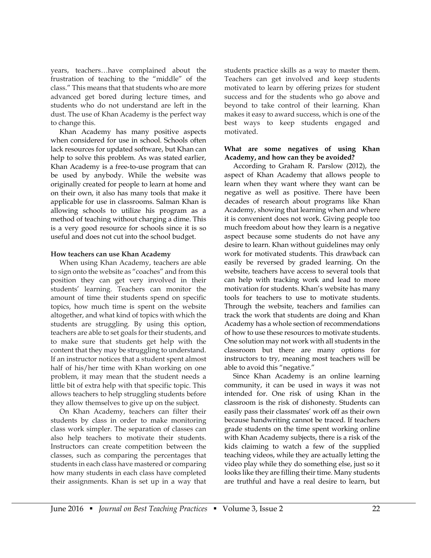years, teachers…have complained about the frustration of teaching to the "middle" of the class." This means that that students who are more advanced get bored during lecture times, and students who do not understand are left in the dust. The use of Khan Academy is the perfect way to change this.

 Khan Academy has many positive aspects when considered for use in school. Schools often lack resources for updated software, but Khan can help to solve this problem. As was stated earlier, Khan Academy is a free-to-use program that can be used by anybody. While the website was originally created for people to learn at home and on their own, it also has many tools that make it applicable for use in classrooms. Salman Khan is allowing schools to utilize his program as a method of teaching without charging a dime. This is a very good resource for schools since it is so useful and does not cut into the school budget.

#### **How teachers can use Khan Academy**

When using Khan Academy, teachers are able to sign onto the website as "coaches" and from this position they can get very involved in their students' learning. Teachers can monitor the amount of time their students spend on specific topics, how much time is spent on the website altogether, and what kind of topics with which the students are struggling. By using this option, teachers are able to set goals for their students, and to make sure that students get help with the content that they may be struggling to understand. If an instructor notices that a student spent almost half of his/her time with Khan working on one problem, it may mean that the student needs a little bit of extra help with that specific topic. This allows teachers to help struggling students before they allow themselves to give up on the subject.

 On Khan Academy, teachers can filter their students by class in order to make monitoring class work simpler. The separation of classes can also help teachers to motivate their students. Instructors can create competition between the classes, such as comparing the percentages that students in each class have mastered or comparing how many students in each class have completed their assignments. Khan is set up in a way that students practice skills as a way to master them. Teachers can get involved and keep students motivated to learn by offering prizes for student success and for the students who go above and beyond to take control of their learning. Khan makes it easy to award success, which is one of the best ways to keep students engaged and motivated.

#### **What are some negatives of using Khan Academy, and how can they be avoided?**

According to Graham R. Parslow (2012), the aspect of Khan Academy that allows people to learn when they want where they want can be negative as well as positive. There have been decades of research about programs like Khan Academy, showing that learning when and where it is convenient does not work. Giving people too much freedom about how they learn is a negative aspect because some students do not have any desire to learn. Khan without guidelines may only work for motivated students. This drawback can easily be reversed by graded learning. On the website, teachers have access to several tools that can help with tracking work and lead to more motivation for students. Khan's website has many tools for teachers to use to motivate students. Through the website, teachers and families can track the work that students are doing and Khan Academy has a whole section of recommendations of how to use these resources to motivate students. One solution may not work with all students in the classroom but there are many options for instructors to try, meaning most teachers will be able to avoid this "negative."

 Since Khan Academy is an online learning community, it can be used in ways it was not intended for. One risk of using Khan in the classroom is the risk of dishonesty. Students can easily pass their classmates' work off as their own because handwriting cannot be traced. If teachers grade students on the time spent working online with Khan Academy subjects, there is a risk of the kids claiming to watch a few of the supplied teaching videos, while they are actually letting the video play while they do something else, just so it looks like they are filling their time. Many students are truthful and have a real desire to learn, but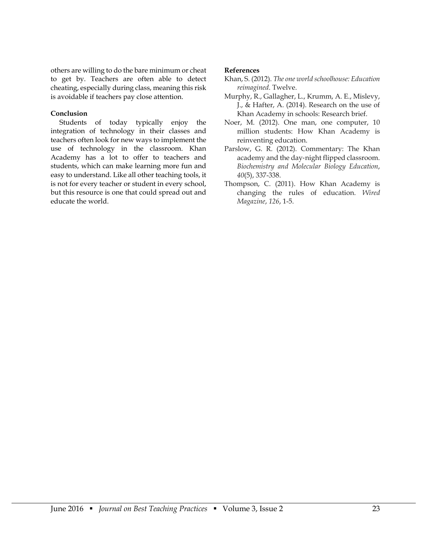others are willing to do the bare minimum or cheat to get by. Teachers are often able to detect cheating, especially during class, meaning this risk is avoidable if teachers pay close attention.

### **Conclusion**

Students of today typically enjoy the integration of technology in their classes and teachers often look for new ways to implement the use of technology in the classroom. Khan Academy has a lot to offer to teachers and students, which can make learning more fun and easy to understand. Like all other teaching tools, it is not for every teacher or student in every school, but this resource is one that could spread out and educate the world.

- Khan, S. (2012). *The one world schoolhouse: Education reimagined*. Twelve.
- Murphy, R., Gallagher, L., Krumm, A. E., Mislevy, J., & Hafter, A. (2014). Research on the use of Khan Academy in schools: Research brief.
- Noer, M. (2012). One man, one computer, 10 million students: How Khan Academy is reinventing education.
- Parslow, G. R. (2012). Commentary: The Khan academy and the day‐night flipped classroom. *Biochemistry and Molecular Biology Education*, *40*(5), 337-338.
- Thompson, C. (2011). How Khan Academy is changing the rules of education. *Wired Magazine*, *126*, 1-5.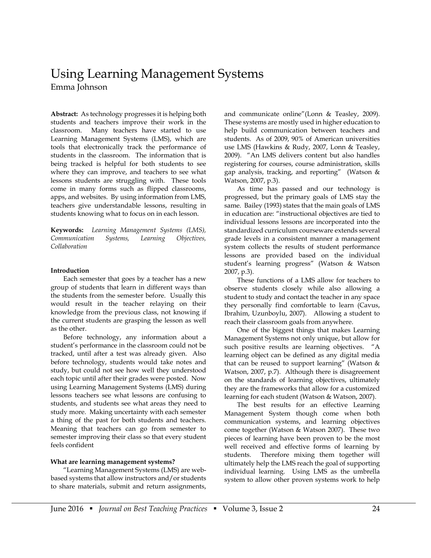# Using Learning Management Systems Emma Johnson

**Abstract:** As technology progresses it is helping both students and teachers improve their work in the classroom. Many teachers have started to use Learning Management Systems (LMS), which are tools that electronically track the performance of students in the classroom. The information that is being tracked is helpful for both students to see where they can improve, and teachers to see what lessons students are struggling with. These tools come in many forms such as flipped classrooms, apps, and websites. By using information from LMS, teachers give understandable lessons, resulting in students knowing what to focus on in each lesson.

**Keywords:** *Learning Management Systems (LMS), Communication Systems, Learning Objectives, Collaboration*

#### **Introduction**

Each semester that goes by a teacher has a new group of students that learn in different ways than the students from the semester before. Usually this would result in the teacher relaying on their knowledge from the previous class, not knowing if the current students are grasping the lesson as well as the other.

Before technology, any information about a student's performance in the classroom could not be tracked, until after a test was already given. Also before technology, students would take notes and study, but could not see how well they understood each topic until after their grades were posted. Now using Learning Management Systems (LMS) during lessons teachers see what lessons are confusing to students, and students see what areas they need to study more. Making uncertainty with each semester a thing of the past for both students and teachers. Meaning that teachers can go from semester to semester improving their class so that every student feels confident

#### **What are learning management systems?**

"Learning Management Systems (LMS) are webbased systems that allow instructors and/or students to share materials, submit and return assignments, and communicate online"(Lonn & Teasley, 2009). These systems are mostly used in higher education to help build communication between teachers and students. As of 2009, 90% of American universities use LMS (Hawkins & Rudy, 2007, Lonn & Teasley, 2009). "An LMS delivers content but also handles registering for courses, course administration, skills gap analysis, tracking, and reporting" (Watson & Watson, 2007, p.3).

As time has passed and our technology is progressed, but the primary goals of LMS stay the same. Bailey (1993) states that the main goals of LMS in education are: "instructional objectives are tied to individual lessons lessons are incorporated into the standardized curriculum courseware extends several grade levels in a consistent manner a management system collects the results of student performance lessons are provided based on the individual student's learning progress" (Watson & Watson 2007, p.3).

These functions of a LMS allow for teachers to observe students closely while also allowing a student to study and contact the teacher in any space they personally find comfortable to learn (Cavus, Ibrahim, Uzunboylu, 2007). Allowing a student to reach their classroom goals from anywhere.

One of the biggest things that makes Learning Management Systems not only unique, but allow for such positive results are learning objectives. "A learning object can be defined as any digital media that can be reused to support learning" (Watson & Watson, 2007, p.7). Although there is disagreement on the standards of learning objectives, ultimately they are the frameworks that allow for a customized learning for each student (Watson & Watson, 2007).

The best results for an effective Learning Management System though come when both communication systems, and learning objectives come together (Watson & Watson 2007). These two pieces of learning have been proven to be the most well received and effective forms of learning by students. Therefore mixing them together will ultimately help the LMS reach the goal of supporting individual learning. Using LMS as the umbrella system to allow other proven systems work to help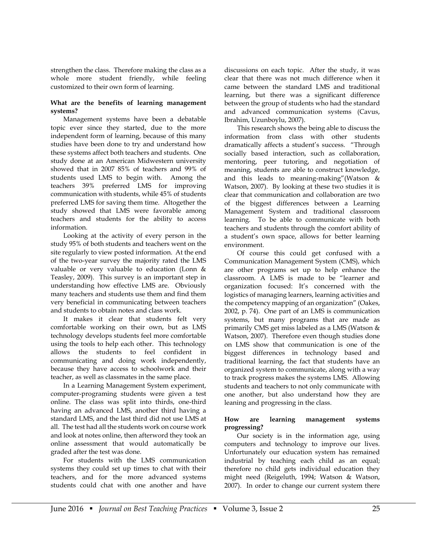strengthen the class. Therefore making the class as a whole more student friendly, while feeling customized to their own form of learning.

#### **What are the benefits of learning management systems?**

Management systems have been a debatable topic ever since they started, due to the more independent form of learning, because of this many studies have been done to try and understand how these systems affect both teachers and students. One study done at an American Midwestern university showed that in 2007 85% of teachers and 99% of students used LMS to begin with. Among the teachers 39% preferred LMS for improving communication with students, while 45% of students preferred LMS for saving them time. Altogether the study showed that LMS were favorable among teachers and students for the ability to access information.

Looking at the activity of every person in the study 95% of both students and teachers went on the site regularly to view posted information. At the end of the two-year survey the majority rated the LMS valuable or very valuable to education (Lonn & Teasley, 2009). This survey is an important step in understanding how effective LMS are. Obviously many teachers and students use them and find them very beneficial in communicating between teachers and students to obtain notes and class work.

It makes it clear that students felt very comfortable working on their own, but as LMS technology develops students feel more comfortable using the tools to help each other. This technology allows the students to feel confident in communicating and doing work independently, because they have access to schoolwork and their teacher, as well as classmates in the same place.

In a Learning Management System experiment, computer-programing students were given a test online. The class was split into thirds, one-third having an advanced LMS, another third having a standard LMS, and the last third did not use LMS at all. The test had all the students work on course work and look at notes online, then afterword they took an online assessment that would automatically be graded after the test was done.

For students with the LMS communication systems they could set up times to chat with their teachers, and for the more advanced systems students could chat with one another and have discussions on each topic. After the study, it was clear that there was not much difference when it came between the standard LMS and traditional learning, but there was a significant difference between the group of students who had the standard and advanced communication systems (Cavus, Ibrahim, Uzunboylu, 2007).

This research shows the being able to discuss the information from class with other students dramatically affects a student's success. "Through socially based interaction, such as collaboration, mentoring, peer tutoring, and negotiation of meaning, students are able to construct knowledge, and this leads to meaning-making"(Watson & Watson, 2007). By looking at these two studies it is clear that communication and collaboration are two of the biggest differences between a Learning Management System and traditional classroom learning. To be able to communicate with both teachers and students through the comfort ability of a student's own space, allows for better learning environment.

Of course this could get confused with a Communication Management System (CMS), which are other programs set up to help enhance the classroom. A LMS is made to be "learner and organization focused: It's concerned with the logistics of managing learners, learning activities and the competency mapping of an organization" (Oakes, 2002, p. 74). One part of an LMS is communication systems, but many programs that are made as primarily CMS get miss labeled as a LMS (Watson & Watson, 2007). Therefore even though studies done on LMS show that communication is one of the biggest differences in technology based and traditional learning, the fact that students have an organized system to communicate, along with a way to track progress makes the systems LMS. Allowing students and teachers to not only communicate with one another, but also understand how they are leaning and progressing in the class.

#### **How are learning management systems progressing?**

Our society is in the information age, using computers and technology to improve our lives. Unfortunately our education system has remained industrial by teaching each child as an equal; therefore no child gets individual education they might need (Reigeluth, 1994; Watson & Watson, 2007). In order to change our current system there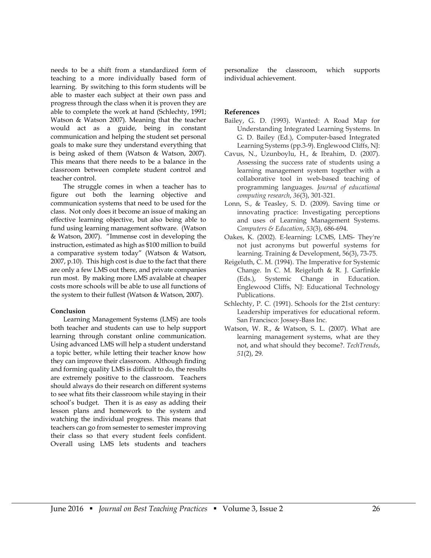needs to be a shift from a standardized form of teaching to a more individually based form of learning. By switching to this form students will be able to master each subject at their own pass and progress through the class when it is proven they are able to complete the work at hand (Schlechty, 1991; Watson & Watson 2007). Meaning that the teacher would act as a guide, being in constant communication and helping the student set personal goals to make sure they understand everything that is being asked of them (Watson & Watson, 2007). This means that there needs to be a balance in the classroom between complete student control and teacher control.

The struggle comes in when a teacher has to figure out both the learning objective and communication systems that need to be used for the class. Not only does it become an issue of making an effective learning objective, but also being able to fund using learning management software. (Watson & Watson, 2007). "Immense cost in developing the instruction, estimated as high as \$100 million to build a comparative system today" (Watson & Watson, 2007, p.10). This high cost is due to the fact that there are only a few LMS out there, and private companies run most. By making more LMS avalable at cheaper costs more schools will be able to use all functions of the system to their fullest (Watson & Watson, 2007).

#### **Conclusion**

Learning Management Systems (LMS) are tools both teacher and students can use to help support learning through constant online communication. Using advanced LMS will help a student understand a topic better, while letting their teacher know how they can improve their classroom. Although finding and forming quality LMS is difficult to do, the results are extremely positive to the classroom. Teachers should always do their research on different systems to see what fits their classroom while staying in their school's budget. Then it is as easy as adding their lesson plans and homework to the system and watching the individual progress. This means that teachers can go from semester to semester improving their class so that every student feels confident. Overall using LMS lets students and teachers personalize the classroom, which supports individual achievement.

- Bailey, G. D. (1993). Wanted: A Road Map for Understanding Integrated Learning Systems. In G. D. Bailey (Ed.), Computer-based Integrated Learning Systems (pp.3-9). Englewood Cliffs, NJ:
- Cavus, N., Uzunboylu, H., & Ibrahim, D. (2007). Assessing the success rate of students using a learning management system together with a collaborative tool in web-based teaching of programming languages. *Journal of educational computing research*, *36*(3), 301-321.
- Lonn, S., & Teasley, S. D. (2009). Saving time or innovating practice: Investigating perceptions and uses of Learning Management Systems. *Computers & Education*, *53*(3), 686-694.
- Oakes, K. (2002). E-learning: LCMS, LMS- They're not just acronyms but powerful systems for learning. Training & Development, 56(3), 73-75.
- Reigeluth, C. M. (1994). The Imperative for Systemic Change. In C. M. Reigeluth & R. J. Garfinkle (Eds.), Systemic Change in Education. Englewood Cliffs, NJ: Educational Technology Publications.
- Schlechty, P. C. (1991). Schools for the 21st century: Leadership imperatives for educational reform. San Francisco: Jossey-Bass Inc.
- Watson, W. R., & Watson, S. L. (2007). What are learning management systems, what are they not, and what should they become?. *TechTrends*, *51*(2), 29.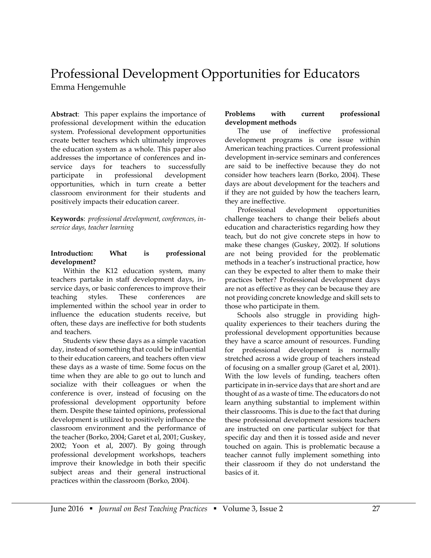# Professional Development Opportunities for Educators Emma Hengemuhle

**Abstract**: This paper explains the importance of professional development within the education system. Professional development opportunities create better teachers which ultimately improves the education system as a whole. This paper also addresses the importance of conferences and inservice days for teachers to successfully participate in professional development opportunities, which in turn create a better classroom environment for their students and positively impacts their education career.

**Keywords**: *professional development, conferences, inservice days, teacher learning*

# **Introduction: What is professional development?**

Within the K12 education system, many teachers partake in staff development days, inservice days, or basic conferences to improve their teaching styles. These conferences are implemented within the school year in order to influence the education students receive, but often, these days are ineffective for both students and teachers.

Students view these days as a simple vacation day, instead of something that could be influential to their education careers, and teachers often view these days as a waste of time. Some focus on the time when they are able to go out to lunch and socialize with their colleagues or when the conference is over, instead of focusing on the professional development opportunity before them. Despite these tainted opinions, professional development is utilized to positively influence the classroom environment and the performance of the teacher (Borko, 2004; Garet et al, 2001; Guskey, 2002; Yoon et al, 2007). By going through professional development workshops, teachers improve their knowledge in both their specific subject areas and their general instructional practices within the classroom (Borko, 2004).

### **Problems with current professional development methods**

The use of ineffective professional development programs is one issue within American teaching practices. Current professional development in-service seminars and conferences are said to be ineffective because they do not consider how teachers learn (Borko, 2004). These days are about development for the teachers and if they are not guided by how the teachers learn, they are ineffective.

Professional development opportunities challenge teachers to change their beliefs about education and characteristics regarding how they teach, but do not give concrete steps in how to make these changes (Guskey, 2002). If solutions are not being provided for the problematic methods in a teacher's instructional practice, how can they be expected to alter them to make their practices better? Professional development days are not as effective as they can be because they are not providing concrete knowledge and skill sets to those who participate in them.

Schools also struggle in providing highquality experiences to their teachers during the professional development opportunities because they have a scarce amount of resources. Funding for professional development is normally stretched across a wide group of teachers instead of focusing on a smaller group (Garet et al, 2001). With the low levels of funding, teachers often participate in in-service days that are short and are thought of as a waste of time. The educators do not learn anything substantial to implement within their classrooms. This is due to the fact that during these professional development sessions teachers are instructed on one particular subject for that specific day and then it is tossed aside and never touched on again. This is problematic because a teacher cannot fully implement something into their classroom if they do not understand the basics of it.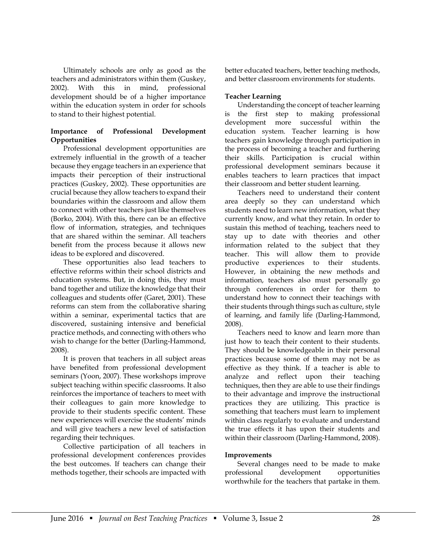Ultimately schools are only as good as the teachers and administrators within them (Guskey, 2002). With this in mind, professional development should be of a higher importance within the education system in order for schools to stand to their highest potential.

# **Importance of Professional Development Opportunities**

Professional development opportunities are extremely influential in the growth of a teacher because they engage teachers in an experience that impacts their perception of their instructional practices (Guskey, 2002). These opportunities are crucial because they allow teachers to expand their boundaries within the classroom and allow them to connect with other teachers just like themselves (Borko, 2004). With this, there can be an effective flow of information, strategies, and techniques that are shared within the seminar. All teachers benefit from the process because it allows new ideas to be explored and discovered.

These opportunities also lead teachers to effective reforms within their school districts and education systems. But, in doing this, they must band together and utilize the knowledge that their colleagues and students offer (Garet, 2001). These reforms can stem from the collaborative sharing within a seminar, experimental tactics that are discovered, sustaining intensive and beneficial practice methods, and connecting with others who wish to change for the better (Darling-Hammond, 2008).

It is proven that teachers in all subject areas have benefited from professional development seminars (Yoon, 2007). These workshops improve subject teaching within specific classrooms. It also reinforces the importance of teachers to meet with their colleagues to gain more knowledge to provide to their students specific content. These new experiences will exercise the students' minds and will give teachers a new level of satisfaction regarding their techniques.

Collective participation of all teachers in professional development conferences provides the best outcomes. If teachers can change their methods together, their schools are impacted with better educated teachers, better teaching methods, and better classroom environments for students.

# **Teacher Learning**

Understanding the concept of teacher learning is the first step to making professional development more successful within the education system. Teacher learning is how teachers gain knowledge through participation in the process of becoming a teacher and furthering their skills. Participation is crucial within professional development seminars because it enables teachers to learn practices that impact their classroom and better student learning.

Teachers need to understand their content area deeply so they can understand which students need to learn new information, what they currently know, and what they retain. In order to sustain this method of teaching, teachers need to stay up to date with theories and other information related to the subject that they teacher. This will allow them to provide productive experiences to their students. However, in obtaining the new methods and information, teachers also must personally go through conferences in order for them to understand how to connect their teachings with their students through things such as culture, style of learning, and family life (Darling-Hammond, 2008).

Teachers need to know and learn more than just how to teach their content to their students. They should be knowledgeable in their personal practices because some of them may not be as effective as they think. If a teacher is able to analyze and reflect upon their teaching techniques, then they are able to use their findings to their advantage and improve the instructional practices they are utilizing. This practice is something that teachers must learn to implement within class regularly to evaluate and understand the true effects it has upon their students and within their classroom (Darling-Hammond, 2008).

# **Improvements**

Several changes need to be made to make professional development opportunities worthwhile for the teachers that partake in them.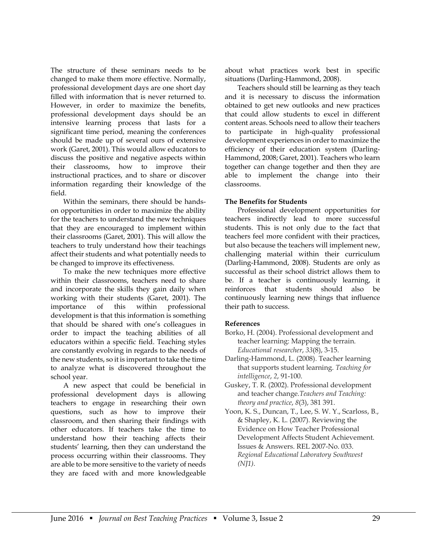The structure of these seminars needs to be changed to make them more effective. Normally, professional development days are one short day filled with information that is never returned to. However, in order to maximize the benefits, professional development days should be an intensive learning process that lasts for a significant time period, meaning the conferences should be made up of several ours of extensive work (Garet, 2001). This would allow educators to discuss the positive and negative aspects within their classrooms, how to improve their instructional practices, and to share or discover information regarding their knowledge of the field.

Within the seminars, there should be handson opportunities in order to maximize the ability for the teachers to understand the new techniques that they are encouraged to implement within their classrooms (Garet, 2001). This will allow the teachers to truly understand how their teachings affect their students and what potentially needs to be changed to improve its effectiveness.

To make the new techniques more effective within their classrooms, teachers need to share and incorporate the skills they gain daily when working with their students (Garet, 2001). The importance of this within professional development is that this information is something that should be shared with one's colleagues in order to impact the teaching abilities of all educators within a specific field. Teaching styles are constantly evolving in regards to the needs of the new students, so it is important to take the time to analyze what is discovered throughout the school year.

A new aspect that could be beneficial in professional development days is allowing teachers to engage in researching their own questions, such as how to improve their classroom, and then sharing their findings with other educators. If teachers take the time to understand how their teaching affects their students' learning, then they can understand the process occurring within their classrooms. They are able to be more sensitive to the variety of needs they are faced with and more knowledgeable about what practices work best in specific situations (Darling-Hammond, 2008).

Teachers should still be learning as they teach and it is necessary to discuss the information obtained to get new outlooks and new practices that could allow students to excel in different content areas. Schools need to allow their teachers to participate in high-quality professional development experiences in order to maximize the efficiency of their education system (Darling-Hammond, 2008; Garet, 2001). Teachers who learn together can change together and then they are able to implement the change into their classrooms.

# **The Benefits for Students**

Professional development opportunities for teachers indirectly lead to more successful students. This is not only due to the fact that teachers feel more confident with their practices, but also because the teachers will implement new, challenging material within their curriculum (Darling-Hammond, 2008). Students are only as successful as their school district allows them to be. If a teacher is continuously learning, it reinforces that students should also be continuously learning new things that influence their path to success.

- Borko, H. (2004). Professional development and teacher learning: Mapping the terrain. *Educational researcher*, *33*(8), 3-15.
- Darling-Hammond, L. (2008). Teacher learning that supports student learning. *Teaching for intelligence*, *2*, 91-100.
- Guskey, T. R. (2002). Professional development and teacher change.*Teachers and Teaching: theory and practice*, *8*(3), 381 391.
- Yoon, K. S., Duncan, T., Lee, S. W. Y., Scarloss, B., & Shapley, K. L. (2007). Reviewing the Evidence on How Teacher Professional Development Affects Student Achievement. Issues & Answers. REL 2007-No. 033. *Regional Educational Laboratory Southwest (NJ1)*.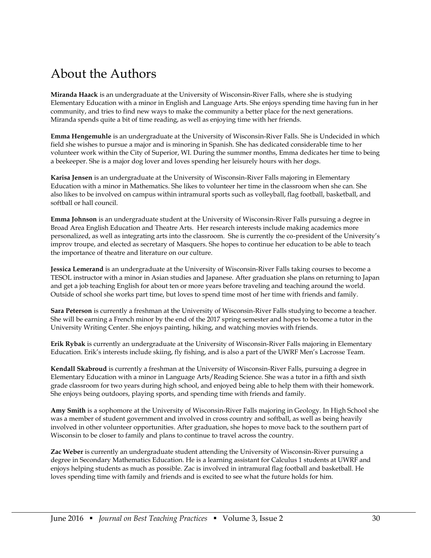# About the Authors

**Miranda Haack** is an undergraduate at the University of Wisconsin-River Falls, where she is studying Elementary Education with a minor in English and Language Arts. She enjoys spending time having fun in her community, and tries to find new ways to make the community a better place for the next generations. Miranda spends quite a bit of time reading, as well as enjoying time with her friends.

**Emma Hengemuhle** is an undergraduate at the University of Wisconsin-River Falls. She is Undecided in which field she wishes to pursue a major and is minoring in Spanish. She has dedicated considerable time to her volunteer work within the City of Superior, WI. During the summer months, Emma dedicates her time to being a beekeeper. She is a major dog lover and loves spending her leisurely hours with her dogs.

**Karisa Jensen** is an undergraduate at the University of Wisconsin-River Falls majoring in Elementary Education with a minor in Mathematics. She likes to volunteer her time in the classroom when she can. She also likes to be involved on campus within intramural sports such as volleyball, flag football, basketball, and softball or hall council.

**Emma Johnson** is an undergraduate student at the University of Wisconsin-River Falls pursuing a degree in Broad Area English Education and Theatre Arts. Her research interests include making academics more personalized, as well as integrating arts into the classroom. She is currently the co-president of the University's improv troupe, and elected as secretary of Masquers. She hopes to continue her education to be able to teach the importance of theatre and literature on our culture.

**Jessica Lemerand** is an undergraduate at the University of Wisconsin-River Falls taking courses to become a TESOL instructor with a minor in Asian studies and Japanese. After graduation she plans on returning to Japan and get a job teaching English for about ten or more years before traveling and teaching around the world. Outside of school she works part time, but loves to spend time most of her time with friends and family.

**Sara Peterson** is currently a freshman at the University of Wisconsin-River Falls studying to become a teacher. She will be earning a French minor by the end of the 2017 spring semester and hopes to become a tutor in the University Writing Center. She enjoys painting, hiking, and watching movies with friends.

**Erik Rybak** is currently an undergraduate at the University of Wisconsin-River Falls majoring in Elementary Education. Erik's interests include skiing, fly fishing, and is also a part of the UWRF Men's Lacrosse Team.

**Kendall Skabroud** is currently a freshman at the University of Wisconsin-River Falls, pursuing a degree in Elementary Education with a minor in Language Arts/Reading Science. She was a tutor in a fifth and sixth grade classroom for two years during high school, and enjoyed being able to help them with their homework. She enjoys being outdoors, playing sports, and spending time with friends and family.

**Amy Smith** is a sophomore at the University of Wisconsin-River Falls majoring in Geology. In High School she was a member of student government and involved in cross country and softball, as well as being heavily involved in other volunteer opportunities. After graduation, she hopes to move back to the southern part of Wisconsin to be closer to family and plans to continue to travel across the country.

**Zac Weber** is currently an undergraduate student attending the University of Wisconsin-River pursuing a degree in Secondary Mathematics Education. He is a learning assistant for Calculus 1 students at UWRF and enjoys helping students as much as possible. Zac is involved in intramural flag football and basketball. He loves spending time with family and friends and is excited to see what the future holds for him.